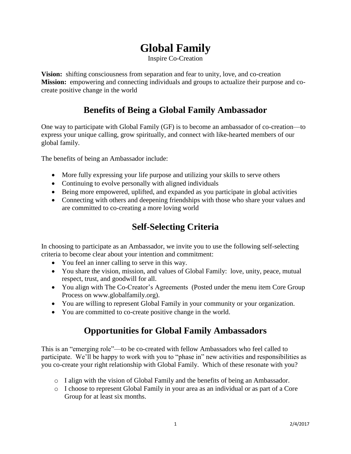## **Global Family**

Inspire Co-Creation

**Vision:** shifting consciousness from separation and fear to unity, love, and co-creation **Mission:** empowering and connecting individuals and groups to actualize their purpose and cocreate positive change in the world

## **Benefits of Being a Global Family Ambassador**

One way to participate with Global Family (GF) is to become an ambassador of co-creation—to express your unique calling, grow spiritually, and connect with like-hearted members of our global family.

The benefits of being an Ambassador include:

- More fully expressing your life purpose and utilizing your skills to serve others
- Continuing to evolve personally with aligned individuals
- Being more empowered, uplifted, and expanded as you participate in global activities
- Connecting with others and deepening friendships with those who share your values and are committed to co-creating a more loving world

## **Self-Selecting Criteria**

In choosing to participate as an Ambassador, we invite you to use the following self-selecting criteria to become clear about your intention and commitment:

- You feel an inner calling to serve in this way.
- You share the vision, mission, and values of Global Family: love, unity, peace, mutual respect, trust, and goodwill for all.
- You align with The Co-Creator's Agreements (Posted under the menu item Core Group Process on www.globalfamily.org).
- You are willing to represent Global Family in your community or your organization.
- You are committed to co-create positive change in the world.

## **Opportunities for Global Family Ambassadors**

This is an "emerging role"—to be co-created with fellow Ambassadors who feel called to participate. We'll be happy to work with you to "phase in" new activities and responsibilities as you co-create your right relationship with Global Family. Which of these resonate with you?

- o I align with the vision of Global Family and the benefits of being an Ambassador.
- o I choose to represent Global Family in your area as an individual or as part of a Core Group for at least six months.